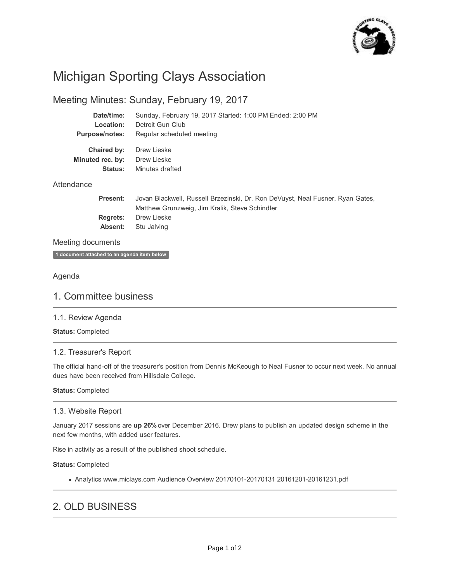

# Michigan Sporting Clays Association

# Meeting Minutes: Sunday, February 19, 2017

| Date/time:                                 | Sunday, February 19, 2017 Started: 1:00 PM Ended: 2:00 PM |
|--------------------------------------------|-----------------------------------------------------------|
| Location:                                  | Detroit Gun Club                                          |
| <b>Purpose/notes:</b>                      | Regular scheduled meeting                                 |
| Chaired by:<br>Minuted rec. by:<br>Status: | Drew Lieske<br>Drew Lieske<br>Minutes drafted             |
| Attendance                                 |                                                           |

**Present: Regrets: Absent:** Jovan Blackwell, Russell Brzezinski, Dr. Ron DeVuyst, Neal Fusner, Ryan Gates, Matthew Grunzweig, Jim Kralik, Steve Schindler Drew Lieske Stu Jalving

# Meeting documents

**1 document attached to an agenda item below**

# Agenda

# 1. Committee business

# 1.1. Review Agenda

**Status:** Completed

# 1.2. Treasurer's Report

The official hand-off of the treasurer's position from Dennis McKeough to Neal Fusner to occur next week. No annual dues have been received from Hillsdale College.

#### **Status:** Completed

# 1.3. Website Report

January 2017 sessions are **up 26%** over December 2016. Drew plans to publish an updated design scheme in the next few months, with added user features.

Rise in activity as a result of the published shoot schedule.

#### **Status:** Completed

Analytics www.miclays.com Audience Overview 20170101-20170131 20161201-20161231.pdf

# 2. OLD BUSINESS